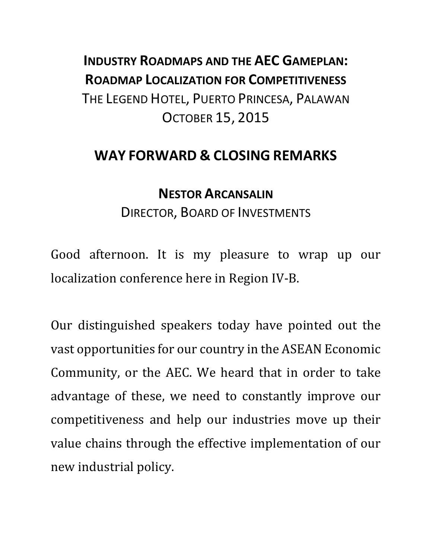## **INDUSTRY ROADMAPS AND THE AEC GAMEPLAN: ROADMAP LOCALIZATION FOR COMPETITIVENESS** THE LEGEND HOTEL, PUERTO PRINCESA, PALAWAN OCTOBER 15, 2015

## **WAY FORWARD & CLOSING REMARKS**

## **NESTOR ARCANSALIN** DIRECTOR, BOARD OF INVESTMENTS

Good afternoon. It is my pleasure to wrap up our localization conference here in Region IV-B.

Our distinguished speakers today have pointed out the vast opportunities for our country in the ASEAN Economic Community, or the AEC. We heard that in order to take advantage of these, we need to constantly improve our competitiveness and help our industries move up their value chains through the effective implementation of our new industrial policy.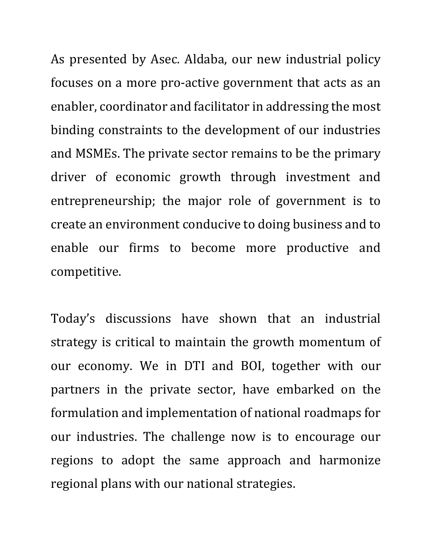As presented by Asec. Aldaba, our new industrial policy focuses on a more pro-active government that acts as an enabler, coordinator and facilitator in addressing the most binding constraints to the development of our industries and MSMEs. The private sector remains to be the primary driver of economic growth through investment and entrepreneurship; the major role of government is to create an environment conducive to doing business and to enable our firms to become more productive and competitive.

Today's discussions have shown that an industrial strategy is critical to maintain the growth momentum of our economy. We in DTI and BOI, together with our partners in the private sector, have embarked on the formulation and implementation of national roadmaps for our industries. The challenge now is to encourage our regions to adopt the same approach and harmonize regional plans with our national strategies.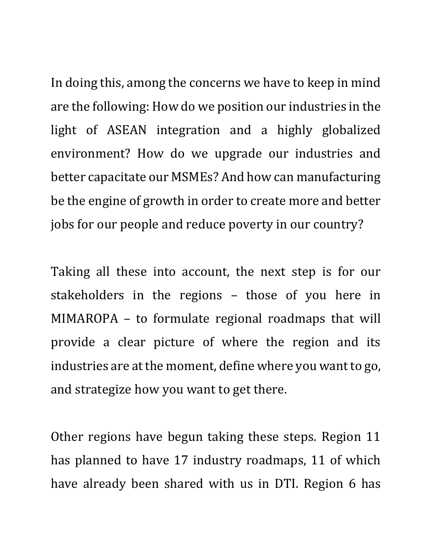In doing this, among the concerns we have to keep in mind are the following: How do we position our industries in the light of ASEAN integration and a highly globalized environment? How do we upgrade our industries and better capacitate our MSMEs? And how can manufacturing be the engine of growth in order to create more and better jobs for our people and reduce poverty in our country?

Taking all these into account, the next step is for our stakeholders in the regions – those of you here in MIMAROPA – to formulate regional roadmaps that will provide a clear picture of where the region and its industries are at the moment, define where you want to go, and strategize how you want to get there.

Other regions have begun taking these steps. Region 11 has planned to have 17 industry roadmaps, 11 of which have already been shared with us in DTI. Region 6 has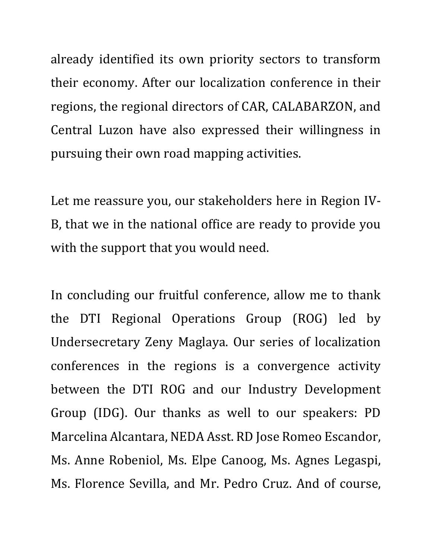already identified its own priority sectors to transform their economy. After our localization conference in their regions, the regional directors of CAR, CALABARZON, and Central Luzon have also expressed their willingness in pursuing their own road mapping activities.

Let me reassure you, our stakeholders here in Region IV-B, that we in the national office are ready to provide you with the support that you would need.

In concluding our fruitful conference, allow me to thank the DTI Regional Operations Group (ROG) led by Undersecretary Zeny Maglaya. Our series of localization conferences in the regions is a convergence activity between the DTI ROG and our Industry Development Group (IDG). Our thanks as well to our speakers: PD Marcelina Alcantara, NEDA Asst. RD Jose Romeo Escandor, Ms. Anne Robeniol, Ms. Elpe Canoog, Ms. Agnes Legaspi, Ms. Florence Sevilla, and Mr. Pedro Cruz. And of course,